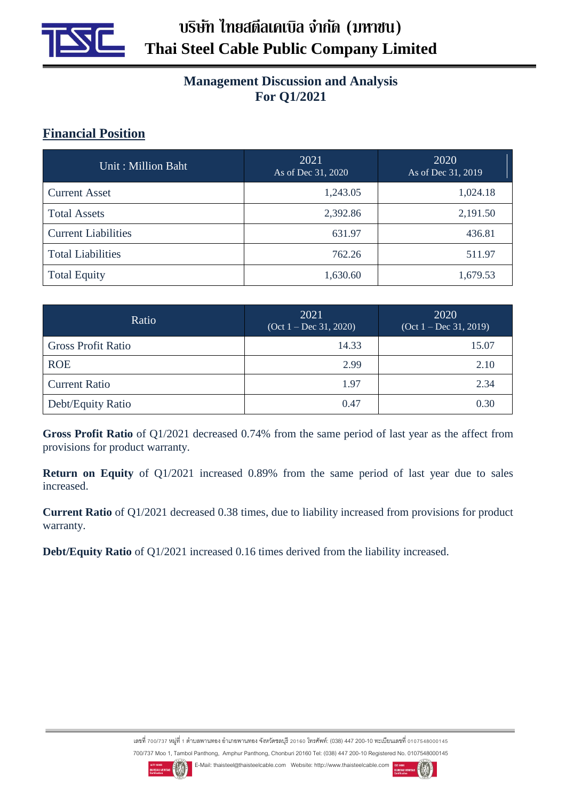

## **Management Discussion and Analysis For Q1/2021**

## **Financial Position**

| Unit: Million Baht         | 2021<br>As of Dec 31, 2020 | 2020<br>As of Dec 31, 2019 |  |
|----------------------------|----------------------------|----------------------------|--|
| <b>Current Asset</b>       | 1,243.05                   | 1,024.18                   |  |
| <b>Total Assets</b>        | 2,392.86                   | 2,191.50                   |  |
| <b>Current Liabilities</b> | 631.97                     | 436.81                     |  |
| <b>Total Liabilities</b>   | 762.26                     | 511.97                     |  |
| <b>Total Equity</b>        | 1,630.60                   | 1,679.53                   |  |

| Ratio                     | 2021<br>$(Oct 1 - Dec 31, 2020)$ | 2020<br>$(Oct 1 - Dec 31, 2019)$ |  |
|---------------------------|----------------------------------|----------------------------------|--|
| <b>Gross Profit Ratio</b> | 14.33                            | 15.07                            |  |
| <b>ROE</b>                | 2.99                             | 2.10                             |  |
| <b>Current Ratio</b>      | 1.97                             | 2.34                             |  |
| Debt/Equity Ratio         | 0.47                             | 0.30                             |  |

**Gross Profit Ratio** of Q1/2021 decreased 0.74% from the same period of last year as the affect from provisions for product warranty.

**Return on Equity** of Q1/2021 increased 0.89% from the same period of last year due to sales increased.

**Current Ratio** of Q1/2021 decreased 0.38 times, due to liability increased from provisions for product warranty.

**Debt/Equity Ratio** of Q1/2021 increased 0.16 times derived from the liability increased.

เลขที่ 700/737 หมู่ที่ 1 ตำบลพานทอง อำเภอพานทอง จังหวัดชลบุรี 20160 โทรศัพท์: (038) 447 200-10 ทะเบียนเลขที่ 0107548000145 700/737 Moo 1, Tambol Panthong, Amphur Panthong, Chonburi 20160 Tel: (038) 447 200-10 Registered No. 0107548000145